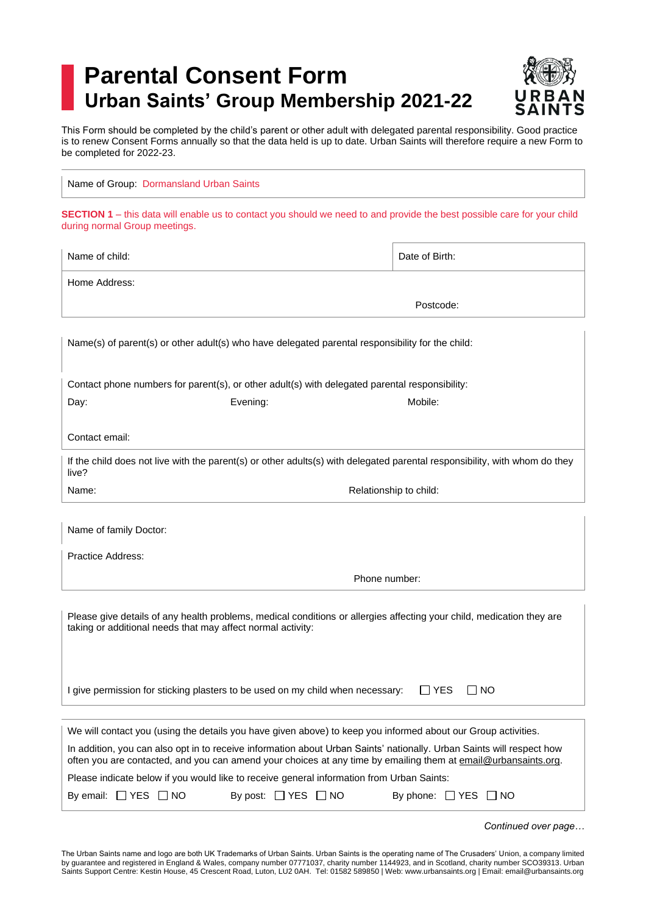## **Parental Consent Form Urban Saints' Group Membership 2021-22**



This Form should be completed by the child's parent or other adult with delegated parental responsibility. Good practice is to renew Consent Forms annually so that the data held is up to date. Urban Saints will therefore require a new Form to be completed for 2022-23.

Name of Group: Dormansland Urban Saints

**SECTION 1** – this data will enable us to contact you should we need to and provide the best possible care for your child during normal Group meetings.

| Name of child:                                                                                                                                                                                                                                                                                                                                                                                                                                                                                                                                             | Date of Birth:         |  |
|------------------------------------------------------------------------------------------------------------------------------------------------------------------------------------------------------------------------------------------------------------------------------------------------------------------------------------------------------------------------------------------------------------------------------------------------------------------------------------------------------------------------------------------------------------|------------------------|--|
| Home Address:                                                                                                                                                                                                                                                                                                                                                                                                                                                                                                                                              |                        |  |
|                                                                                                                                                                                                                                                                                                                                                                                                                                                                                                                                                            | Postcode:              |  |
| Name(s) of parent(s) or other adult(s) who have delegated parental responsibility for the child:                                                                                                                                                                                                                                                                                                                                                                                                                                                           |                        |  |
| Contact phone numbers for parent(s), or other adult(s) with delegated parental responsibility:                                                                                                                                                                                                                                                                                                                                                                                                                                                             |                        |  |
| Day:<br>Evening:                                                                                                                                                                                                                                                                                                                                                                                                                                                                                                                                           | Mobile:                |  |
| Contact email:                                                                                                                                                                                                                                                                                                                                                                                                                                                                                                                                             |                        |  |
| If the child does not live with the parent(s) or other adults(s) with delegated parental responsibility, with whom do they<br>live?                                                                                                                                                                                                                                                                                                                                                                                                                        |                        |  |
| Name:                                                                                                                                                                                                                                                                                                                                                                                                                                                                                                                                                      | Relationship to child: |  |
| Name of family Doctor:                                                                                                                                                                                                                                                                                                                                                                                                                                                                                                                                     |                        |  |
| Practice Address:                                                                                                                                                                                                                                                                                                                                                                                                                                                                                                                                          |                        |  |
| Phone number:                                                                                                                                                                                                                                                                                                                                                                                                                                                                                                                                              |                        |  |
| Please give details of any health problems, medical conditions or allergies affecting your child, medication they are<br>taking or additional needs that may affect normal activity:                                                                                                                                                                                                                                                                                                                                                                       |                        |  |
| I give permission for sticking plasters to be used on my child when necessary:                                                                                                                                                                                                                                                                                                                                                                                                                                                                             | I IYES<br>I INO        |  |
| We will contact you (using the details you have given above) to keep you informed about our Group activities.<br>In addition, you can also opt in to receive information about Urban Saints' nationally. Urban Saints will respect how<br>often you are contacted, and you can amend your choices at any time by emailing them at email@urbansaints.org.<br>Please indicate below if you would like to receive general information from Urban Saints:<br>By email: $\Box$ YES $\Box$ NO<br>By post: $\Box$ YES $\Box$ NO<br>By phone: $\Box$ YES $\Box$ NO |                        |  |

*Continued over page…*